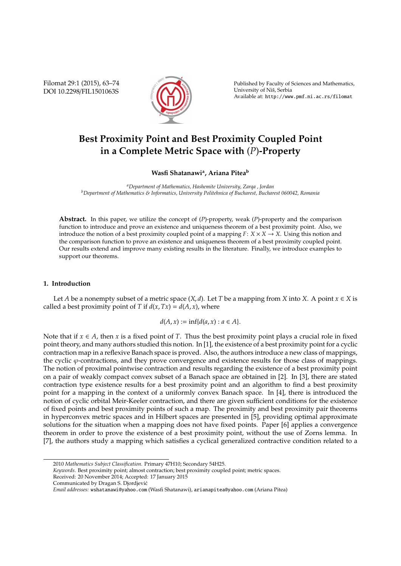Filomat 29:1 (2015), 63–74 DOI 10.2298/FIL1501063S



Published by Faculty of Sciences and Mathematics, University of Nis, Serbia ˇ Available at: http://www.pmf.ni.ac.rs/filomat

# **Best Proximity Point and Best Proximity Coupled Point in a Complete Metric Space with** (*P*)**-Property**

# **Wasfi Shatanawi<sup>a</sup> , Ariana Pitea<sup>b</sup>**

*<sup>a</sup>Department of Mathematics, Hashemite University, Zarqa , Jordan <sup>b</sup>Department of Mathematics & Informatics, University Politehnica of Bucharest, Bucharest 060042, Romania*

**Abstract.** In this paper, we utilize the concept of (*P*)-property, weak (*P*)-property and the comparison function to introduce and prove an existence and uniqueness theorem of a best proximity point. Also, we introduce the notion of a best proximity coupled point of a mapping  $F: X \times X \rightarrow X$ . Using this notion and the comparison function to prove an existence and uniqueness theorem of a best proximity coupled point. Our results extend and improve many existing results in the literature. Finally, we introduce examples to support our theorems.

### **1. Introduction**

Let *A* be a nonempty subset of a metric space  $(X, d)$ . Let *T* be a mapping from *X* into *X*. A point  $x \in X$  is called a best proximity point of *T* if  $d(x, Tx) = d(A, x)$ , where

$$
d(A, x) := \inf \{ d(a, x) : a \in A \}.
$$

Note that if  $x \in A$ , then  $x$  is a fixed point of  $T$ . Thus the best proximity point plays a crucial role in fixed point theory, and many authors studied this notion. In [1], the existence of a best proximity point for a cyclic contraction map in a reflexive Banach space is proved. Also, the authors introduce a new class of mappings, the cyclic  $\varphi$ -contractions, and they prove convergence and existence results for those class of mappings. The notion of proximal pointwise contraction and results regarding the existence of a best proximity point on a pair of weakly compact convex subset of a Banach space are obtained in [2]. In [3], there are stated contraction type existence results for a best proximity point and an algorithm to find a best proximity point for a mapping in the context of a uniformly convex Banach space. In [4], there is introduced the notion of cyclic orbital Meir-Keeler contraction, and there are given sufficient conditions for the existence of fixed points and best proximity points of such a map. The proximity and best proximity pair theorems in hyperconvex metric spaces and in Hilbert spaces are presented in [5], providing optimal approximate solutions for the situation when a mapping does not have fixed points. Paper [6] applies a convergence theorem in order to prove the existence of a best proximity point, without the use of Zorns lemma. In [7], the authors study a mapping which satisfies a cyclical generalized contractive condition related to a

<sup>2010</sup> *Mathematics Subject Classification*. Primary 47H10; Secondary 54H25.

*Keywords*. Best proximity point; almost contraction; best proximity coupled point; metric spaces.

Received: 20 November 2014; Accepted: 17 January 2015

Communicated by Dragan S. Djordjevic´

*Email addresses:* wshatanawi@yahoo.com (Wasfi Shatanawi), arianapitea@yahoo.com (Ariana Pitea)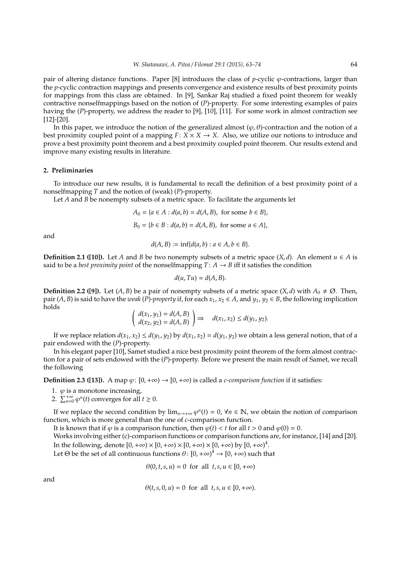pair of altering distance functions. Paper [8] introduces the class of *p*-cyclic  $\varphi$ -contractions, larger than the *p*-cyclic contraction mappings and presents convergence and existence results of best proximity points for mappings from this class are obtained. In [9], Sankar Raj studied a fixed point theorem for weakly contractive nonselfmappings based on the notion of (*P*)-property. For some interesting examples of pairs having the (*P*)-property, we address the reader to [9], [10], [11]. For some work in almost contraction see [12]-[20].

In this paper, we introduce the notion of the generalized almost  $(\varphi, \theta)$ -contraction and the notion of a best proximity coupled point of a mapping  $F: X \times X \rightarrow X$ . Also, we utilize our notions to introduce and prove a best proximity point theorem and a best proximity coupled point theorem. Our results extend and improve many existing results in literature.

#### **2. Preliminaries**

To introduce our new results, it is fundamental to recall the definition of a best proximity point of a nonselfmapping *T* and the notion of (weak) (*P*)-property.

Let *A* and *B* be nonempty subsets of a metric space. To facilitate the arguments let

$$
A_0 = \{a \in A : d(a, b) = d(A, B), \text{ for some } b \in B\},\
$$
  

$$
B_0 = \{b \in B : d(a, b) = d(A, B), \text{ for some } a \in A\},\
$$

and

$$
d(A, B) := \inf \{ d(a, b) : a \in A, b \in B \}.
$$

**Definition 2.1 ([10]).** Let *A* and *B* be two nonempty subsets of a metric space  $(X, d)$ . An element  $u \in A$  is said to be a *best proximity point* of the nonselfmapping  $T: A \rightarrow B$  iff it satisfies the condition

$$
d(u, Tu) = d(A, B).
$$

**Definition 2.2 ([9]).** Let  $(A, B)$  be a pair of nonempty subsets of a metric space  $(X, d)$  with  $A_0 \neq \emptyset$ . Then, pair  $(A, B)$  is said to have the *weak* (*P*)*-property* if, for each  $x_1, x_2 \in A$ , and  $y_1, y_2 \in B$ , the following implication holds

$$
\left(\begin{array}{c}d(x_1,y_1)=d(A,B)\\d(x_2,y_2)=d(A,B)\end{array}\right)\Rightarrow d(x_1,x_2)\leq d(y_1,y_2).
$$

If we replace relation  $d(x_1, x_2) \le d(y_1, y_2)$  by  $d(x_1, x_2) = d(y_1, y_2)$  we obtain a less general notion, that of a pair endowed with the (*P*)-property.

In his elegant paper [10], Samet studied a nice best proximity point theorem of the form almost contraction for a pair of sets endowed with the (*P*)-property. Before we present the main result of Samet, we recall the following

**Definition 2.3 ([13]).** A map  $\varphi$ :  $[0, +\infty) \rightarrow [0, +\infty)$  is called a *c*-comparison function if it satisfies:

- 1.  $\varphi$  is a monotone increasing,
- 2.  $\sum_{n=0}^{t} \varphi^n(t)$  converges for all  $t \ge 0$ .

If we replace the second condition by  $\lim_{n\to+\infty}\varphi^n(t)=0$ ,  $\forall n\in\mathbb{N}$ , we obtain the notion of comparison function, which is more general than the one of *c*-comparison function.

It is known that if  $\varphi$  is a comparison function, then  $\varphi(t) < t$  for all  $t > 0$  and  $\varphi(0) = 0$ .

Works involving either (c)-comparison functions or comparison functions are, for instance, [14] and [20]. In the following, denote  $[0,+\infty)\times[0,+\infty)\times[0,+\infty)\times[0,+\infty)$  by  $[0,+\infty)^4$ .

Let  $\Theta$  be the set of all continuous functions  $\theta \colon [0,+\infty)^4 \to [0,+\infty)$  such that

$$
\theta(0, t, s, u) = 0 \text{ for all } t, s, u \in [0, +\infty)
$$

and

$$
\theta(t,s,0,u) = 0 \text{ for all } t,s,u \in [0,+\infty).
$$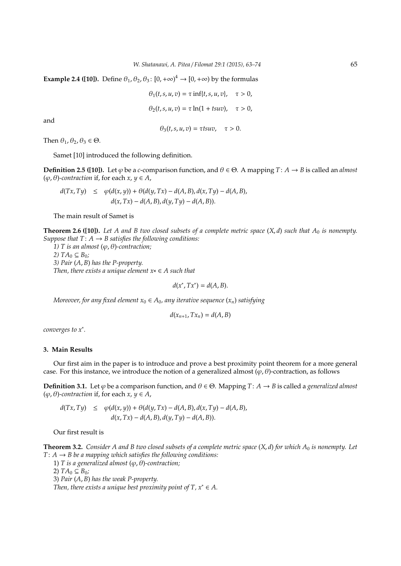**Example 2.4 ([10]).** Define  $\theta_1$ ,  $\theta_2$ ,  $\theta_3$ :  $[0, +\infty)^4 \rightarrow [0, +\infty)$  by the formulas

$$
\theta_1(t, s, u, v) = \tau \inf\{t, s, u, v\}, \quad \tau > 0,
$$
  

$$
\theta_2(t, s, u, v) = \tau \ln(1 + t \text{ }uv), \quad \tau > 0,
$$

and

$$
\theta_3(t,s,u,v)=\tau t s u v, \quad \tau>0.
$$

Then  $\theta_1$ ,  $\theta_2$ ,  $\theta_3 \in \Theta$ .

Samet [10] introduced the following definition.

**Definition 2.5 ([10]).** Let  $\varphi$  be a *c*-comparison function, and  $\theta \in \Theta$ . A mapping  $T: A \rightarrow B$  is called an *almost*  $(\varphi, \theta)$ -contraction if, for each  $x, y \in A$ ,

$$
d(Tx, Ty) \le \varphi(d(x, y)) + \theta(d(y, Tx) - d(A, B), d(x, Ty) - d(A, B),
$$
  

$$
d(x, Tx) - d(A, B), d(y, Ty) - d(A, B)).
$$

The main result of Samet is

**Theorem 2.6 ([10]).** *Let A and B two closed subsets of a complete metric space* (*X*, *d*) *such that A*<sup>0</sup> *is nonempty. Suppose that*  $T: A \rightarrow B$  *satisfies the following conditions:* 

*1) T* is an almost  $(\varphi, \theta)$ -contraction; *2)*  $TA_0 ⊆ B_0;$ *3) Pair* (*A*, *B*) *has the P-property. Then, there exists a unique element x*∗ ∈ *A such that*

$$
d(x^*, Tx^*) = d(A, B).
$$

*Moreover, for any fixed element*  $x_0 \in A_0$ *, any iterative sequence*  $(x_n)$  *satisfying* 

$$
d(x_{n+1}, Tx_n) = d(A, B)
$$

*converges to x*<sup>∗</sup> *.*

### **3. Main Results**

Our first aim in the paper is to introduce and prove a best proximity point theorem for a more general case. For this instance, we introduce the notion of a generalized almost  $(\varphi, \theta)$ -contraction, as follows

**Definition 3.1.** Let  $\varphi$  be a comparison function, and  $\theta \in \Theta$ . Mapping *T*:  $A \rightarrow B$  is called a *generalized almost*  $(\varphi, \theta)$ -contraction if, for each  $x, y \in A$ ,

$$
d(Tx, Ty) \le \varphi(d(x, y)) + \theta(d(y, Tx) - d(A, B), d(x, Ty) - d(A, B),
$$
  

$$
d(x, Tx) - d(A, B), d(y, Ty) - d(A, B)).
$$

Our first result is

**Theorem 3.2.** *Consider A and B two closed subsets of a complete metric space*  $(X, d)$  *for which*  $A_0$  *is nonempty. Let*  $T: A \rightarrow B$  *be a mapping which satisfies the following conditions:* 

1) *T* is a generalized almost (φ, θ)-contraction;

2)  $TA_0 ⊆ B_0;$ 

3) *Pair* (*A*, *B*) *has the weak P-property.*

*Then, there exists a unique best proximity point of T,*  $x^* \in A$ *.*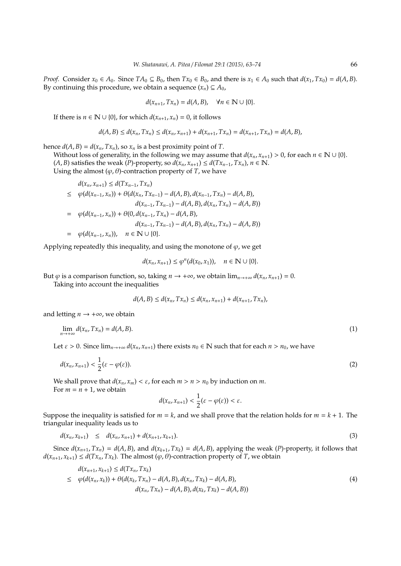*Proof.* Consider  $x_0 \in A_0$ . Since  $TA_0 \subseteq B_0$ , then  $Tx_0 \in B_0$ , and there is  $x_1 \in A_0$  such that  $d(x_1, Tx_0) = d(A, B)$ . By continuing this procedure, we obtain a sequence  $(x_n) \subseteq A_0$ ,

$$
d(x_{n+1}, Tx_n) = d(A, B), \quad \forall n \in \mathbb{N} \cup \{0\}.
$$

If there is  $n \in \mathbb{N} \cup \{0\}$ , for which  $d(x_{n+1}, x_n) = 0$ , it follows

$$
d(A,B) \leq d(x_n,Tx_n) \leq d(x_n,x_{n+1}) + d(x_{n+1},Tx_n) = d(x_{n+1},Tx_n) = d(A,B),
$$

hence  $d(A, B) = d(x_n, Tx_n)$ , so  $x_n$  is a best proximity point of *T*.

Without loss of generality, in the following we may assume that  $d(x_n, x_{n+1}) > 0$ , for each  $n \in \mathbb{N} \cup \{0\}$ . (*A*, *B*) satisfies the weak (*P*)-property, so  $d(x_n, x_{n+1})$  ≤  $d(Tx_{n-1}, Tx_n)$ ,  $n \in \mathbb{N}$ .

Using the almost  $(\varphi, \theta)$ -contraction property of *T*, we have

$$
d(x_n, x_{n+1}) \le d(Tx_{n-1}, Tx_n)
$$
  
\n
$$
\le \varphi(d(x_{n-1}, x_n)) + \theta(d(x_n, Tx_{n-1}) - d(A, B), d(x_{n-1}, Tx_n) - d(A, B),
$$
  
\n
$$
d(x_{n-1}, Tx_{n-1}) - d(A, B), d(x_n, Tx_n) - d(A, B))
$$
  
\n
$$
= \varphi(d(x_{n-1}, x_n)) + \theta(0, d(x_{n-1}, Tx_n) - d(A, B),
$$
  
\n
$$
d(x_{n-1}, Tx_{n-1}) - d(A, B), d(x_n, Tx_n) - d(A, B))
$$
  
\n
$$
= \varphi(d(x_{n-1}, x_n)), \quad n \in \mathbb{N} \cup \{0\}.
$$

Applying repeatedly this inequality, and using the monotone of  $\varphi$ , we get

$$
d(x_n,x_{n+1})\leq \varphi^n(d(x_0,x_1)),\quad n\in\mathbb{N}\cup\{0\}.
$$

But  $\varphi$  is a comparison function, so, taking  $n \to +\infty$ , we obtain  $\lim_{n \to +\infty} d(x_n, x_{n+1}) = 0$ .

Taking into account the inequalities

$$
d(A, B) \leq d(x_n, Tx_n) \leq d(x_n, x_{n+1}) + d(x_{n+1}, Tx_n),
$$

and letting  $n \rightarrow +\infty$ , we obtain

$$
\lim_{n \to +\infty} d(x_n, Tx_n) = d(A, B). \tag{1}
$$

Let  $\varepsilon > 0$ . Since  $\lim_{n\to+\infty} d(x_n, x_{n+1})$  there exists  $n_0 \in \mathbb{N}$  such that for each  $n > n_0$ , we have

$$
d(x_n, x_{n+1}) < \frac{1}{2} (\varepsilon - \varphi(\varepsilon)). \tag{2}
$$

We shall prove that  $d(x_n, x_m) < \varepsilon$ , for each  $m > n > n_0$  by induction on *m*. For  $m = n + 1$ , we obtain

$$
d(x_n,x_{n+1})<\frac{1}{2}(\varepsilon-\varphi(\varepsilon))<\varepsilon.
$$

Suppose the inequality is satisfied for  $m = k$ , and we shall prove that the relation holds for  $m = k + 1$ . The triangular inequality leads us to

$$
d(x_n, x_{k+1}) \leq d(x_n, x_{n+1}) + d(x_{n+1}, x_{k+1}). \tag{3}
$$

Since  $d(x_{n+1}, Tx_n) = d(A, B)$ , and  $d(x_{k+1}, Tx_k) = d(A, B)$ , applying the weak (*P*)-property, it follows that  $d(x_{n+1}, x_{k+1}) \le d(Tx_n, Tx_k)$ . The almost  $(\varphi, \theta)$ -contraction property of *T*, we obtain

$$
d(x_{n+1}, x_{k+1}) \le d(Tx_n, Tx_k)
$$
  
\n
$$
\le \varphi(d(x_n, x_k)) + \theta(d(x_k, Tx_n) - d(A, B), d(x_n, Tx_k) - d(A, B),
$$
  
\n
$$
d(x_n, Tx_n) - d(A, B), d(x_k, Tx_k) - d(A, B))
$$
\n(4)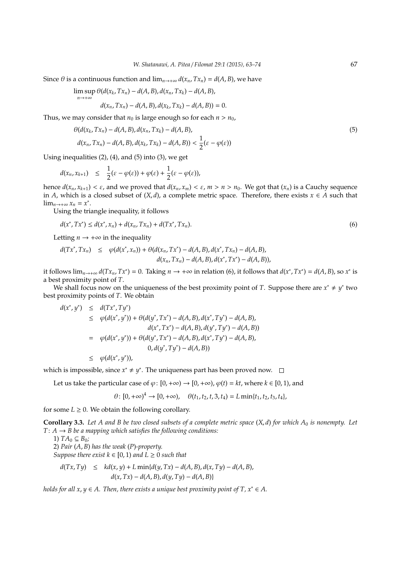Since  $\theta$  is a continuous function and  $\lim_{n\to+\infty} d(x_n, Tx_n) = d(A, B)$ , we have

$$
\limsup_{n\to+\infty} \theta(d(x_k,Tx_n)-d(A,B),d(x_n,Tx_k)-d(A,B),
$$
  

$$
d(x_n,Tx_n)-d(A,B),d(x_k,Tx_k)-d(A,B))=0.
$$

Thus, we may consider that  $n_0$  is large enough so for each  $n > n_0$ ,

$$
\theta(d(x_k, Tx_n) - d(A, B), d(x_n, Tx_k) - d(A, B),d(x_n, Tx_n) - d(A, B), d(x_k, Tx_k) - d(A, B)) < \frac{1}{2}(\varepsilon - \varphi(\varepsilon))
$$
\n(5)

Using inequalities  $(2)$ ,  $(4)$ , and  $(5)$  into  $(3)$ , we get

$$
d(x_n,x_{k+1}) \leq \frac{1}{2}(\varepsilon - \varphi(\varepsilon)) + \varphi(\varepsilon) + \frac{1}{2}(\varepsilon - \varphi(\varepsilon)),
$$

hence  $d(x_n, x_{k+1}) < \varepsilon$ , and we proved that  $d(x_n, x_m) < \varepsilon$ ,  $m > n > n_0$ . We got that  $(x_n)$  is a Cauchy sequence in *A*, which is a closed subset of  $(X, d)$ , a complete metric space. Therefore, there exists  $x \in A$  such that lim<sub>*n*→+∞</sub>  $x_n = x^*$ .

Using the triangle inequality, it follows

$$
d(x^*, Tx^*) \le d(x^*, x_n) + d(x_n, Tx_n) + d(Tx^*, Tx_n).
$$
\n(6)

Letting  $n \to +\infty$  in the inequality

$$
d(Tx^*,Tx_n) \leq \varphi(d(x^*,x_n)) + \theta(d(x_n,Tx^*) - d(A,B), d(x^*,Tx_n) - d(A,B),d(x_n,Tx_n) - d(A,B), d(x^*,Tx^*) - d(A,B)),
$$

it follows  $\lim_{n\to+\infty} d(Tx_n, Tx^*) = 0$ . Taking  $n \to +\infty$  in relation (6), it follows that  $d(x^*, Tx^*) = d(A, B)$ , so  $x^*$  is a best proximity point of *T*.

We shall focus now on the uniqueness of the best proximity point of *T*. Suppose there are  $x^* \neq y^*$  two best proximity points of *T*. We obtain

$$
d(x^*, y^*) \leq d(Tx^*, Ty^*)
$$
  
\n
$$
\leq \varphi(d(x^*, y^*)) + \theta(d(y^*, Tx^*) - d(A, B), d(x^*, Ty^*) - d(A, B),
$$
  
\n
$$
d(x^*, Tx^*) - d(A, B), d(y^*, Ty^*) - d(A, B))
$$
  
\n
$$
= \varphi(d(x^*, y^*)) + \theta(d(y^*, Tx^*) - d(A, B), d(x^*, Ty^*) - d(A, B),
$$
  
\n
$$
0, d(y^*, Ty^*) - d(A, B))
$$
  
\n
$$
\leq \varphi(d(x^*, y^*)),
$$

which is impossible, since  $x^* \neq y^*$ . The uniqueness part has been proved now.

Let us take the particular case of  $\varphi$ :  $[0, +\infty) \to [0, +\infty)$ ,  $\varphi(t) = kt$ , where  $k \in [0, 1)$ , and

$$
\theta \colon [0, +\infty)^4 \to [0, +\infty), \quad \theta(t_1, t_2, t, 3, t_4) = L \min\{t_1, t_2, t_3, t_4\},\
$$

for some  $L \geq 0$ . We obtain the following corollary.

**Corollary 3.3.** Let A and B be two closed subsets of a complete metric space  $(X, d)$  for which  $A_0$  is nonempty. Let  $T: A \rightarrow B$  *be a mapping which satisfies the following conditions:* 

1)  $TA_0 \subseteq B_0$ ;

2) *Pair* (*A*, *B*) *has the weak* (*P*)*-property.*

*Suppose there exist*  $k \in [0, 1)$  *and*  $L \ge 0$  *such that* 

$$
d(Tx, Ty) \leq kd(x, y) + L \min\{d(y, Tx) - d(A, B), d(x, Ty) - d(A, B),
$$
  

$$
d(x, Tx) - d(A, B), d(y, Ty) - d(A, B)\}
$$

*holds for all x,*  $y \in A$ *. Then, there exists a unique best proximity point of T,*  $x^* \in A$ *.*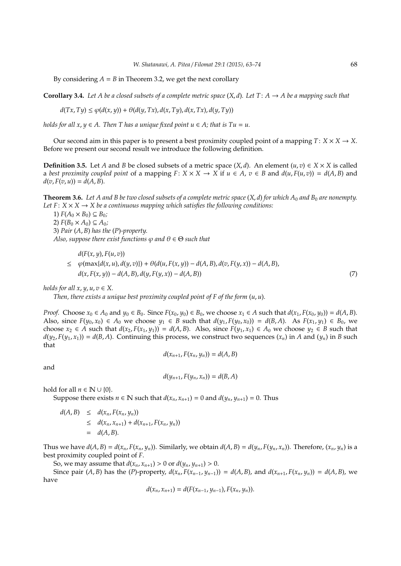By considering  $A = B$  in Theorem 3.2, we get the next corollary

**Corollary 3.4.** Let A be a closed subsets of a complete metric space  $(X, d)$ . Let T:  $A \rightarrow A$  be a mapping such that

$$
d(Tx, Ty) \le \varphi(d(x, y)) + \theta(d(y, Tx), d(x, Ty), d(x, Tx), d(y, Ty))
$$

*holds for all x, y*  $\in$  *A. Then T has a unique fixed point u*  $\in$  *A; that is Tu = u.* 

Our second aim in this paper is to present a best proximity coupled point of a mapping  $T: X \times X \rightarrow X$ . Before we present our second result we introduce the following definition.

**Definition 3.5.** Let *A* and *B* be closed subsets of a metric space  $(X, d)$ . An element  $(u, v) \in X \times X$  is called a *best proximity coupled point* of a mapping  $F: X \times X \to X$  if  $u \in A$ ,  $v \in B$  and  $d(u, F(u, v)) = d(A, B)$  and  $d(v, F(v, u)) = d(A, B).$ 

**Theorem 3.6.** Let A and B be two closed subsets of a complete metric space  $(X, d)$  for which  $A_0$  and  $B_0$  are nonempty. *Let*  $F: X \times X \rightarrow X$  *be a continuous mapping which satisfies the following conditions:* 

1)  $F(A_0 \times B_0) \subseteq B_0$ ;

2)  $F(B_0 \times A_0) \subseteq A_0$ ;

3) *Pair* (*A*, *B*) *has the* (*P*)*-property. Also, suppose there exist functions*  $\varphi$  *and*  $\theta \in \Theta$  *such that* 

$$
d(F(x, y), F(u, v))
$$

 $\leq \varphi(\max\{d(x, u), d(y, v)\}) + \theta(d(u, F(x, y)) - d(A, B), d(v, F(y, x)) - d(A, B),$  $d(x, F(x, y)) - d(A, B), d(y, F(y, x)) - d(A, B)$  (7)

*holds for all*  $x, y, u, v \in X$ *.* 

*Then, there exists a unique best proximity coupled point of F of the form* (*u*, *u*)*.*

*Proof.* Choose  $x_0 \in A_0$  and  $y_0 \in B_0$ . Since  $F(x_0, y_0) \in B_0$ , we choose  $x_1 \in A$  such that  $d(x_1, F(x_0, y_0)) = d(A, B)$ . Also, since  $F(y_0, x_0) \in A_0$  we choose  $y_1 \in B$  such that  $d(y_1, F(y_0, x_0)) = d(B, A)$ . As  $F(x_1, y_1) \in B_0$ , we choose  $x_2 \in A$  such that  $d(x_2, F(x_1, y_1)) = d(A, B)$ . Also, since  $F(y_1, x_1) \in A_0$  we choose  $y_2 \in B$  such that  $d(y_2, F(y_1, x_1)) = d(B, A)$ . Continuing this process, we construct two sequences  $(x_n)$  in *A* and  $(y_n)$  in *B* such that

$$
d(x_{n+1}, F(x_n, y_n)) = d(A, B)
$$

and

$$
d(y_{n+1}, F(y_n, x_n)) = d(B, A)
$$

hold for all  $n \in \mathbb{N} \cup \{0\}$ .

Suppose there exists  $n \in \mathbb{N}$  such that  $d(x_n, x_{n+1}) = 0$  and  $d(y_n, y_{n+1}) = 0$ . Thus

$$
d(A, B) \leq d(x_n, F(x_n, y_n))
$$
  
\n
$$
\leq d(x_n, x_{n+1}) + d(x_{n+1}, F(x_n, y_n))
$$
  
\n
$$
= d(A, B).
$$

Thus we have  $d(A, B) = d(x_n, F(x_n, y_n))$ . Similarly, we obtain  $d(A, B) = d(y_n, F(y_n, x_n))$ . Therefore,  $(x_n, y_n)$  is a best proximity coupled point of *F*.

So, we may assume that  $d(x_n, x_{n+1}) > 0$  or  $d(y_n, y_{n+1}) > 0$ .

Since pair  $(A, B)$  has the  $(P)$ -property,  $d(x_n, F(x_{n-1}, y_{n-1})) = d(A, B)$ , and  $d(x_{n+1}, F(x_n, y_n)) = d(A, B)$ , we have

$$
d(x_n, x_{n+1}) = d(F(x_{n-1}, y_{n-1}), F(x_n, y_n)).
$$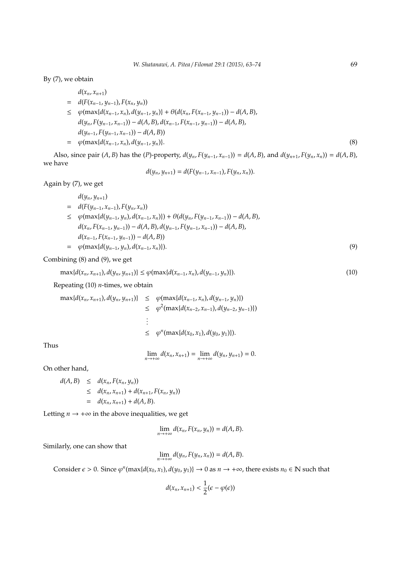By (7), we obtain

$$
d(x_n, x_{n+1})
$$
  
=  $d(F(x_{n-1}, y_{n-1}), F(x_n, y_n))$   
 $\leq \varphi(\max\{d(x_{n-1}, x_n), d(y_{n-1}, y_n)\} + \theta(d(x_n, F(x_{n-1}, y_{n-1})) - d(A, B),$   
 $d(y_n, F(y_{n-1}, x_{n-1})) - d(A, B), d(x_{n-1}, F(x_{n-1}, y_{n-1})) - d(A, B),$   
 $d(y_{n-1}, F(y_{n-1}, x_{n-1})) - d(A, B))$   
=  $\varphi(\max\{d(x_{n-1}, x_n), d(y_{n-1}, y_n)\}.$  (8)

Also, since pair (A, B) has the (P)-property,  $d(y_n, F(y_{n-1}, x_{n-1})) = d(A, B)$ , and  $d(y_{n+1}, F(y_n, x_n)) = d(A, B)$ , we have

$$
d(y_n, y_{n+1}) = d(F(y_{n-1}, x_{n-1}), F(y_n, x_n)).
$$

Again by (7), we get

$$
d(y_n, y_{n+1})
$$
  
=  $d(F(y_{n-1}, x_{n-1}), F(y_n, x_n))$   
 $\leq \varphi(\max\{d(y_{n-1}, y_n), d(x_{n-1}, x_n)\}) + \theta(d(y_n, F(y_{n-1}, x_{n-1})) - d(A, B),$   
 $d(x_n, F(x_{n-1}, y_{n-1})) - d(A, B), d(y_{n-1}, F(y_{n-1}, x_{n-1})) - d(A, B),$   
 $d(x_{n-1}, F(x_{n-1}, y_{n-1})) - d(A, B))$   
=  $\varphi(\max\{d(y_{n-1}, y_n), d(x_{n-1}, x_n)\}).$  (9)

Combining (8) and (9), we get

$$
\max\{d(x_n, x_{n+1}), d(y_n, y_{n+1})\} \le \varphi(\max\{d(x_{n-1}, x_n), d(y_{n-1}, y_n)\}).
$$
\n(10)

Repeating (10) *n*-times, we obtain

$$
\max\{d(x_n, x_{n+1}), d(y_n, y_{n+1})\} \le \varphi(\max\{d(x_{n-1}, x_n), d(y_{n-1}, y_n)\})
$$
  
\n
$$
\le \varphi^2(\max\{d(x_{n-2}, x_{n-1}), d(y_{n-2}, y_{n-1})\})
$$
  
\n
$$
\vdots
$$
  
\n
$$
\le \varphi^n(\max\{d(x_0, x_1), d(y_0, y_1)\}).
$$

Thus

$$
\lim_{n\to+\infty}d(x_n,x_{n+1})=\lim_{n\to+\infty}d(y_n,y_{n+1})=0.
$$

On other hand,

$$
d(A, B) \leq d(x_n, F(x_n, y_n))
$$
  
\n
$$
\leq d(x_n, x_{n+1}) + d(x_{n+1}, F(x_n, y_n))
$$
  
\n
$$
= d(x_n, x_{n+1}) + d(A, B).
$$

Letting  $n \rightarrow +\infty$  in the above inequalities, we get

$$
\lim_{n\to+\infty}d(x_n,F(x_n,y_n))=d(A,B).
$$

Similarly, one can show that

$$
\lim_{n\to+\infty}d(y_n,F(y_n,x_n))=d(A,B).
$$

Consider  $\epsilon > 0$ . Since  $\varphi^n(\max\{d(x_0, x_1), d(y_0, y_1)\} \to 0$  as  $n \to +\infty$ , there exists  $n_0 \in \mathbb{N}$  such that

$$
d(x_n,x_{n+1})<\frac{1}{2}(\epsilon-\varphi(\epsilon))
$$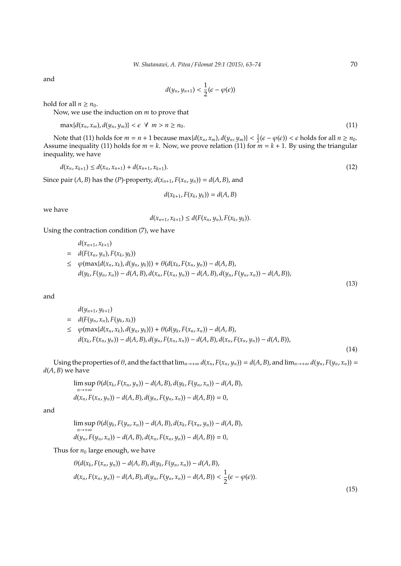and

$$
d(y_n,y_{n+1})<\frac{1}{2}(\epsilon-\varphi(\epsilon))
$$

hold for all  $n \geq n_0$ .

Now, we use the induction on *m* to prove that

$$
\max\{d(x_n,x_m),d(y_n,y_m)\}<\varepsilon\ \forall\ m>n\geq n_0.
$$
\n(11)

Note that (11) holds for  $m = n + 1$  because  $\max\{d(x_n, x_m), d(y_n, y_m)\} < \frac{1}{2}(\epsilon - \varphi(\epsilon)) < \epsilon$  holds for all  $n \ge n_0$ . Assume inequality (11) holds for *m* = *k*. Now, we prove relation (11) for *m* = *k* + 1. By using the triangular inequality, we have

$$
d(x_n, x_{k+1}) \le d(x_n, x_{n+1}) + d(x_{n+1}, x_{k+1}).
$$
\n(12)

Since pair  $(A, B)$  has the  $(P)$ -property,  $d(x_{n+1}, F(x_n, y_n)) = d(A, B)$ , and

$$
d(x_{k+1}, F(x_k, y_k)) = d(A, B)
$$

we have

$$
d(x_{n+1}, x_{k+1}) \leq d(F(x_n, y_n), F(x_k, y_k)).
$$

Using the contraction condition (7), we have

$$
d(x_{n+1}, x_{k+1})
$$
  
=  $d(F(x_n, y_n), F(x_k, y_k))$   

$$
\leq \varphi(\max\{d(x_n, x_k), d(y_n, y_k)\}) + \theta(d(x_k, F(x_n, y_n)) - d(A, B),
$$
  

$$
d(y_k, F(y_n, x_n)) - d(A, B), d(x_n, F(x_n, y_n)) - d(A, B), d(y_n, F(y_n, x_n)) - d(A, B)),
$$

and

$$
d(y_{n+1}, y_{k+1})
$$
  
=  $d(F(y_n, x_n), F(y_k, x_k))$   
 $\leq \varphi(\max\{d(x_n, x_k), d(y_n, y_k)\}) + \theta(d(y_k, F(x_n, x_n)) - d(A, B),$   
 $d(x_k, F(x_n, y_n)) - d(A, B), d(y_n, F(x_n, x_n)) - d(A, B), d(x_n, F(x_n, y_n)) - d(A, B)),$ 

Using the properties of  $\theta$ , and the fact that  $\lim_{n\to+\infty} d(x_n, F(x_n, y_n)) = d(A, B)$ , and  $\lim_{n\to+\infty} d(y_n, F(y_n, x_n)) =$  $d(A, B)$  we have

$$
\limsup_{n \to +\infty} \theta(d(x_k, F(x_n, y_n)) - d(A, B), d(y_k, F(y_n, x_n)) - d(A, B),d(x_n, F(x_n, y_n)) - d(A, B), d(y_n, F(y_n, x_n)) - d(A, B)) = 0,
$$

and

$$
\limsup_{n \to +\infty} \theta(d(y_k, F(y_n, x_n)) - d(A, B), d(x_k, F(x_n, y_n)) - d(A, B),d(y_n, F(y_n, x_n)) - d(A, B), d(x_n, F(x_n, y_n)) - d(A, B)) = 0,
$$

Thus for  $n_0$  large enough, we have

$$
\theta(d(x_k, F(x_n, y_n)) - d(A, B), d(y_k, F(y_n, x_n)) - d(A, B),d(x_n, F(x_n, y_n)) - d(A, B), d(y_n, F(y_n, x_n)) - d(A, B)) < \frac{1}{2}(\epsilon - \varphi(\epsilon)).
$$

(13)

(14)

(15)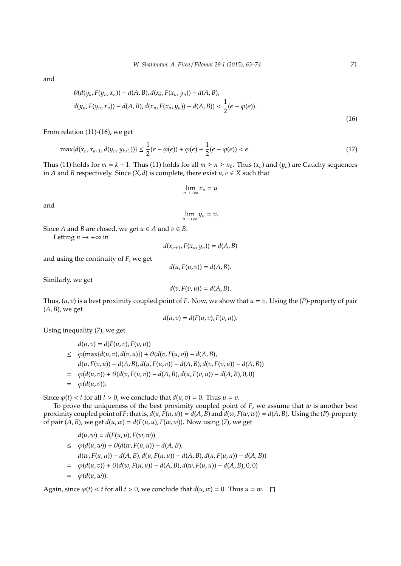and

$$
\theta(d(y_k, F(y_n, x_n)) - d(A, B), d(x_k, F(x_n, y_n)) - d(A, B),d(y_n, F(y_n, x_n)) - d(A, B), d(x_n, F(x_n, y_n)) - d(A, B)) < \frac{1}{2}(\epsilon - \varphi(\epsilon)).
$$
\n(16)

From relation (11)-(16), we get

$$
\max\{d(x_n, x_{k+1}, d(y_n, y_{k+1}))\} \le \frac{1}{2}(\epsilon - \varphi(\epsilon)) + \varphi(\epsilon) + \frac{1}{2}(\epsilon - \varphi(\epsilon)) < \epsilon. \tag{17}
$$

Thus (11) holds for  $m = k + 1$ . Thus (11) holds for all  $m \ge n \ge n_0$ . Thus  $(x_n)$  and  $(y_n)$  are Cauchy sequences in *A* and *B* respectively. Since  $(X, d)$  is complete, there exist  $u, v \in X$  such that

$$
\lim_{n\to+\infty}x_n=u
$$

and

$$
\lim_{n\to+\infty}y_n=v.
$$

Since *A* and *B* are closed, we get  $u \in A$  and  $v \in B$ .

Letting  $n \to +\infty$  in

$$
d(x_{n+1}, F(x_n, y_n)) = d(A, B)
$$

and using the continuity of *F*, we get

$$
d(u, F(u, v)) = d(A, B).
$$

Similarly, we get

$$
d(v, F(v, u)) = d(A, B).
$$

Thus,  $(u, v)$  is a best proximity coupled point of *F*. Now, we show that  $u = v$ . Using the  $(P)$ -property of pair (*A*, *B*), we get

$$
d(u,v) = d(F(u,v), F(v,u)).
$$

Using inequality (7), we get

$$
d(u, v) = d(F(u, v), F(v, u))
$$
  
\n
$$
\leq \varphi(\max\{d(u, v), d(v, u)\}) + \theta(d(v, F(u, v)) - d(A, B),
$$
  
\n
$$
d(u, F(v, u)) - d(A, B), d(u, F(u, v)) - d(A, B), d(v, F(v, u)) - d(A, B))
$$
  
\n
$$
= \varphi(d(u, v)) + \theta(d(v, F(u, v)) - d(A, B), d(u, F(v, u)) - d(A, B), 0, 0)
$$
  
\n
$$
= \varphi(d(u, v)).
$$

Since  $\varphi(t) < t$  for all  $t > 0$ , we conclude that  $d(u, v) = 0$ . Thus  $u = v$ .

To prove the uniqueness of the best proximity coupled point of *F*, we assume that *w* is another best proximity coupled point of F; that is,  $d(u, F(u, u)) = d(A, B)$  and  $d(w, F(w, w)) = d(A, B)$ . Using the (P)-property of pair  $(A, B)$ , we get  $d(u, w) = d(F(u, u), F(w, w))$ . Now using (7), we get

$$
d(u, w) = d(F(u, u), F(w, w))
$$
  
\n
$$
\leq \varphi(d(u, w)) + \theta(d(w, F(u, u)) - d(A, B),
$$
  
\n
$$
d(w, F(u, u)) - d(A, B), d(u, F(u, u)) - d(A, B), d(u, F(u, u)) - d(A, B))
$$
  
\n
$$
= \varphi(d(u, v)) + \theta(d(w, F(u, u)) - d(A, B), d(w, F(u, u)) - d(A, B), 0, 0)
$$
  
\n
$$
= \varphi(d(u, w)).
$$

Again, since  $\varphi(t) < t$  for all  $t > 0$ , we conclude that  $d(u, w) = 0$ . Thus  $u = w$ .  $\Box$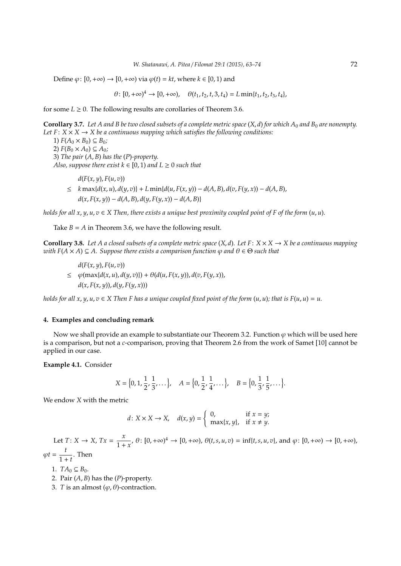Define  $\varphi: [0, +\infty) \to [0, +\infty)$  via  $\varphi(t) = kt$ , where  $k \in [0, 1)$  and

 $\theta: [0, +\infty)^4 \to [0, +\infty), \quad \theta(t_1, t_2, t, 3, t_4) = L \min\{t_1, t_2, t_3, t_4\},\$ 

for some  $L \geq 0$ . The following results are corollaries of Theorem 3.6.

**Corollary 3.7.** Let A and B be two closed subsets of a complete metric space  $(X, d)$  for which  $A_0$  and  $B_0$  are nonempty. *Let*  $F: X \times X \rightarrow X$  *be a continuous mapping which satisfies the following conditions:* 1)  $F(A_0 \times B_0) \subseteq B_0$ ;

2)  $F(B_0 \times A_0) \subseteq A_0$ ; 3) *The pair* (*A*, *B*) *has the* (*P*)*-property. Also, suppose there exist*  $k \in [0, 1)$  *and*  $L \ge 0$  *such that* 

 $d(F(x, y), F(u, v))$  $\leq k \max\{d(x, u), d(y, v)\} + L \min\{d(u, F(x, y)) - d(A, B), d(v, F(y, x)) - d(A, B),$  $d(x, F(x, y)) - d(A, B), d(y, F(y, x)) - d(A, B)$ 

*holds for all x, y, u, v*  $\in$  *X Then, there exists a unique best proximity coupled point of F of the form*  $(u, u)$ *.* 

Take  $B = A$  in Theorem 3.6, we have the following result.

**Corollary 3.8.** Let A a closed subsets of a complete metric space  $(X, d)$ . Let  $F: X \times X \rightarrow X$  be a continuous mapping *with*  $F(A \times A) \subseteq A$ . Suppose there exists a comparison function  $\varphi$  and  $\theta \in \Theta$  such that

*d*(*F*(*x*, *y*), *F*(*u*, *v*))  $\leq \varphi(\max\{d(x, u), d(y, v)\}) + \theta(d(u, F(x, y)), d(v, F(y, x))),$  $d(x, F(x, y)), d(y, F(y, x)))$ 

*holds for all x, y, u, v*  $\in$  *X* Then *F* has a unique coupled fixed point of the form  $(u, u)$ ; that is  $F(u, u) = u$ .

#### **4. Examples and concluding remark**

Now we shall provide an example to substantiate our Theorem 3.2. Function  $\varphi$  which will be used here is a comparison, but not a *c*-comparison, proving that Theorem 2.6 from the work of Samet [10] cannot be applied in our case.

## **Example 4.1.** Consider

$$
X = \left\{0, 1, \frac{1}{2}, \frac{1}{3}, \dots\right\}, \quad A = \left\{0, \frac{1}{2}, \frac{1}{4}, \dots\right\}, \quad B = \left\{0, \frac{1}{3}, \frac{1}{5}, \dots\right\}.
$$

We endow *X* with the metric

$$
d: X \times X \to X, \quad d(x, y) = \begin{cases} 0, & \text{if } x = y; \\ \max\{x, y\}, & \text{if } x \neq y. \end{cases}
$$

Let  $T: X \to X$ ,  $Tx = \frac{x}{1+x}$  $\frac{x}{1+x}$ ,  $\theta: [0, +\infty)^4 \to [0, +\infty)$ ,  $\theta(t, s, u, v) = \inf\{t, s, u, v\}$ , and  $\varphi: [0, +\infty) \to [0, +\infty)$ ,  $\varphi t = \frac{t}{1}$  $\frac{1}{1+t}$ . Then

1.  $TA_0 \subseteq B_0$ .

- 2. Pair (*A*, *B*) has the (*P*)-property.
- 3. *T* is an almost  $(\varphi, \theta)$ -contraction.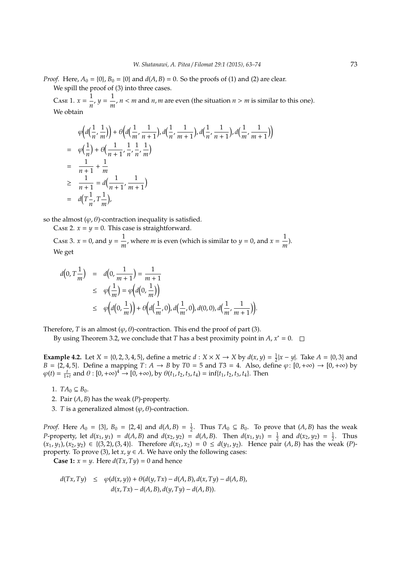*Proof.* Here,  $A_0 = \{0\}$ ,  $B_0 = \{0\}$  and  $d(A, B) = 0$ . So the proofs of (1) and (2) are clear. We spill the proof of (3) into three cases.

CASE 1.  $x = \frac{1}{x}$  $\frac{1}{n}$ ,  $y = \frac{1}{n}$  $\frac{1}{m}$ ,  $n < m$  and  $n$ ,  $m$  are even (the situation  $n > m$  is similar to this one). We obtain

$$
\varphi\Big(d\Big(\frac{1}{n}, \frac{1}{m}\Big)\Big) + \varphi\Big(d\Big(\frac{1}{m}, \frac{1}{n+1}\Big), d\Big(\frac{1}{n}, \frac{1}{m+1}\Big), d\Big(\frac{1}{n}, \frac{1}{n+1}\Big), d\Big(\frac{1}{m}, \frac{1}{m+1}\Big)\Big) \n= \varphi\Big(\frac{1}{n}\Big) + \varphi\Big(\frac{1}{n+1}, \frac{1}{n}, \frac{1}{n}, \frac{1}{m}\Big) \n= \frac{1}{n+1} + \frac{1}{m} \n\ge \frac{1}{n+1} = d\Big(\frac{1}{n+1}, \frac{1}{m+1}\Big) \n= d\Big(\frac{1}{n}, \frac{1}{m}\Big),
$$

so the almost  $(\varphi, \theta)$ -contraction inequality is satisfied.

CASE 2.  $x = y = 0$ . This case is straightforward.

CASE 3.  $x = 0$ , and  $y = \frac{1}{x}$  $\frac{1}{m}$ , where *m* is even (which is similar to *y* = 0, and *x* =  $\frac{1}{m}$  $\frac{1}{m}$ ). We get

$$
d(0, T\frac{1}{m}) = d(0, \frac{1}{m+1}) = \frac{1}{m+1}
$$
  
\n
$$
\leq \varphi(\frac{1}{m}) = \varphi(d(0, \frac{1}{m}))
$$
  
\n
$$
\leq \varphi(d(0, \frac{1}{m})) + \varphi(d(\frac{1}{m}, 0), d(\frac{1}{m}, 0), d(0, 0), d(\frac{1}{m}, \frac{1}{m+1})).
$$

Therefore, *T* is an almost  $(\varphi, \theta)$ -contraction. This end the proof of part (3).

By using Theorem 3.2, we conclude that *T* has a best proximity point in *A*,  $x^* = 0$ .

**Example 4.2.** Let *X* = {0, 2, 3, 4, 5}, define a metric *d* : *X* × *X* → *X* by *d*(*x*, *y*) =  $\frac{1}{2}$ |*x* − *y*|. Take *A* = {0, 3} and  $B = \{2, 4, 5\}.$  Define a mapping  $T: A \to B$  by  $T0 = 5$  and  $T3 = 4$ . Also, define  $\varphi: [0, +\infty) \to [0, +\infty)$  by  $\varphi(t) = \frac{t}{1+t}$  and  $\theta : [0, +\infty)^4 \to [0, +\infty)$ , by  $\theta(t_1, t_2, t_3, t_4) = \inf\{t_1, t_2, t_3, t_4\}$ . Then

- 1.  $TA_0 \subseteq B_0$ .
- 2. Pair (*A*, *B*) has the weak (*P*)-property.
- 3. *T* is a generalized almost  $(\varphi, \theta)$ -contraction.

*Proof.* Here  $A_0 = \{3\}$ ,  $B_0 = \{2, 4\}$  and  $d(A, B) = \frac{1}{2}$ . Thus  $TA_0 \subseteq B_0$ . To prove that  $(A, B)$  has the weak *P*-property, let  $d(x_1, y_1) = d(A, B)$  and  $d(x_2, y_2) = d(A, B)$ . Then  $d(x_1, y_1) = \frac{1}{2}$  and  $d(x_2, y_2) = \frac{1}{2}$ . Thus  $(x_1, y_1), (x_2, y_2) \in \{(3, 2), (3, 4)\}.$  Therefore  $d(x_1, x_2) = 0 \le d(y_1, y_2)$ . Hence pair  $(A, B)$  has the weak (*P*)property. To prove (3), let  $x, y \in A$ . We have only the following cases:

**Case 1:**  $x = y$ . Here  $d(Tx, Ty) = 0$  and hence

$$
d(Tx, Ty) \le \varphi(d(x, y)) + \theta(d(y, Tx) - d(A, B), d(x, Ty) - d(A, B),
$$
  

$$
d(x, Tx) - d(A, B), d(y, Ty) - d(A, B)).
$$